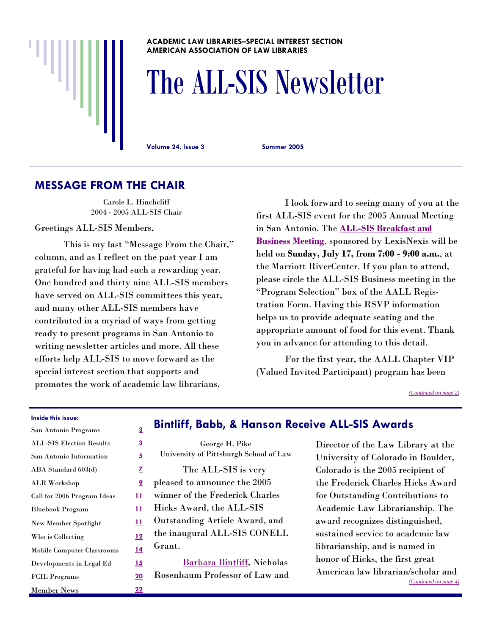#### <span id="page-0-0"></span>**ACADEMIC LAW LIBRARIES–SPECIAL INTEREST SECTION AMERICAN ASSOCIATION OF LAW LIBRARIES**

# The ALL-SIS Newsletter

**Volume 24, Issue 3 Summer 2005** 

# **MESSAGE FROM THE CHAIR**

Carole L. Hinchcliff 2004 - 2005 ALL-SIS Chair

Greetings ALL-SIS Members,

 This is my last "Message From the Chair," column, and as I reflect on the past year I am grateful for having had such a rewarding year. One hundred and thirty nine ALL-SIS members have served on ALL-SIS committees this year, and many other ALL-SIS members have contributed in a myriad of ways from getting ready to present programs in San Antonio to writing newsletter articles and more. All these efforts help ALL-SIS to move forward as the special interest section that supports and promotes the work of academic law librarians.

 I look forward to seeing many of you at the first ALL-SIS event for the 2005 Annual Meeting in San Antonio. The **ALL-SIS Breakfast and Business Meeting**[, sponsored by LexisNexis w](#page-8-0)ill be held on **Sunday, July 17, from 7:00 - 9:00 a.m.**, at the Marriott RiverCenter. If you plan to attend, please circle the ALL-SIS Business meeting in the "Program Selection" box of the AALL Registration Form. Having this RSVP information helps us to provide adequate seating and the appropriate amount of food for this event. Thank you in advance for attending to this detail.

 For the first year, the AALL Chapter VIP (Valued Invited Participant) program has been

*[\(Continued on page 2\)](#page-1-0)*

#### **Inside this issue:**

| San Antonio Programs              | 3               |
|-----------------------------------|-----------------|
| <b>ALL SIS Election Results</b>   | 3               |
| San Antonio Information           | <u>5</u>        |
| ABA Standard 603(d)               | $\overline{z}$  |
| <b>ALR Workshop</b>               | $\overline{9}$  |
| Call for 2006 Program Ideas       | <u>11</u>       |
| <b>Bluebook Program</b>           | $\overline{11}$ |
| <b>New Member Spotlight</b>       | <u>11</u>       |
| Who is Collecting                 | 12              |
| <b>Mobile Computer Classrooms</b> | <u>14</u>       |
| Developments in Legal Ed          | 15              |
| <b>FCIL Programs</b>              | 20              |
| <b>Member News</b>                | <u>22</u>       |

# **Bintliff, Babb, & Hanson Receive ALL-SIS Awards**

George H. Pike University of Pittsburgh School of Law The ALL-SIS is very pleased to announce the 2005 winner of the Frederick Charles Hicks Award, the ALL-SIS Outstanding Article Award, and the inaugural ALL-SIS CONELL Grant.

[Barbara Bintliff](http://lawweb.colorado.edu/profiles/faculty.jsp?id=6), Nicholas Rosenbaum Professor of Law and Director of the Law Library at the University of Colorado in Boulder, Colorado is the 2005 recipient of the Frederick Charles Hicks Award for Outstanding Contributions to Academic Law Librarianship. The award recognizes distinguished, sustained service to academic law librarianship, and is named in honor of Hicks, the first great American law librarian/scholar and *[\(Continued on page 4\)](#page-3-0)*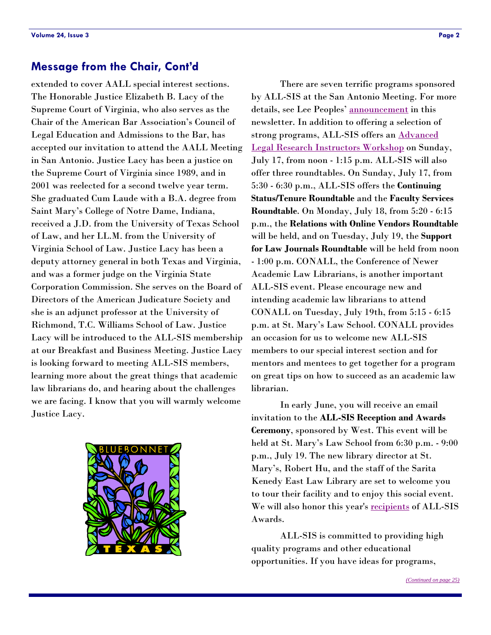# <span id="page-1-0"></span>**Message from the Chair, Cont'd**

extended to cover AALL special interest sections. The Honorable Justice Elizabeth B. Lacy of the Supreme Court of Virginia, who also serves as the Chair of the American Bar Association's Council of Legal Education and Admissions to the Bar, has accepted our invitation to attend the AALL Meeting in San Antonio. Justice Lacy has been a justice on the Supreme Court of Virginia since 1989, and in 2001 was reelected for a second twelve year term. She graduated Cum Laude with a B.A. degree from Saint Mary's College of Notre Dame, Indiana, received a J.D. from the University of Texas School of Law, and her LL.M. from the University of Virginia School of Law. Justice Lacy has been a deputy attorney general in both Texas and Virginia, and was a former judge on the Virginia State Corporation Commission. She serves on the Board of Directors of the American Judicature Society and she is an adjunct professor at the University of Richmond, T.C. Williams School of Law. Justice Lacy will be introduced to the ALL-SIS membership at our Breakfast and Business Meeting. Justice Lacy is looking forward to meeting ALL-SIS members, learning more about the great things that academic law librarians do, and hearing about the challenges we are facing. I know that you will warmly welcome Justice Lacy.



 There are seven terrific programs sponsored by ALL-SIS at the San Antonio Meeting. For more details, see Lee Peoples' [announcement](#page-2-0) in this newsletter. In addition to offering a selection of strong programs, ALL-SIS offers an **Advanced** Legal Research Instructors Workshop on Sunday, July 17, from noon - 1:15 p.m. ALL-SIS will also offer three roundtables. On Sunday, July 17, from 5:30 - 6:30 p.m., ALL-SIS offers the **Continuing Status/Tenure Roundtable** and the **Faculty Services Roundtable**. On Monday, July 18, from 5:20 - 6:15 p.m., the **Relations with Online Vendors Roundtable** will be held, and on Tuesday, July 19, the **Support for Law Journals Roundtable** will be held from noon - 1:00 p.m. CONALL, the Conference of Newer Academic Law Librarians, is another important ALL-SIS event. Please encourage new and intending academic law librarians to attend CONALL on Tuesday, July 19th, from 5:15 - 6:15 p.m. at St. Mary's Law School. CONALL provides an occasion for us to welcome new ALL-SIS members to our special interest section and for mentors and mentees to get together for a program on great tips on how to succeed as an academic law librarian.

 In early June, you will receive an email invitation to the **ALL-SIS Reception and Awards Ceremony**, sponsored by West. This event will be held at St. Mary's Law School from 6:30 p.m. - 9:00 p.m., July 19. The new library director at St. Mary's, Robert Hu, and the staff of the Sarita Kenedy East Law Library are set to welcome you to tour their facility and to enjoy this social event. We will also honor this year's [recipients](#page-0-0) of ALL-SIS Awards.

 ALL-SIS is committed to providing high quality programs and other educational opportunities. If you have ideas for programs,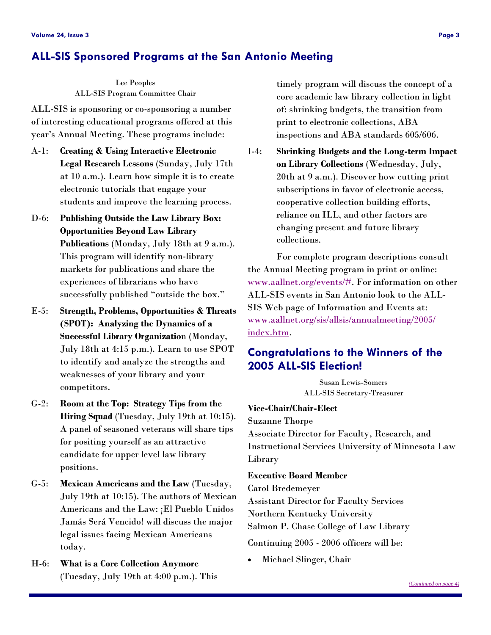# <span id="page-2-0"></span>**ALL-SIS Sponsored Programs at the San Antonio Meeting**

Lee Peoples ALL-SIS Program Committee Chair

ALL-SIS is sponsoring or co-sponsoring a number of interesting educational programs offered at this year's Annual Meeting. These programs include:

- A-1: **Creating & Using Interactive Electronic Legal Research Lessons** (Sunday, July 17th at 10 a.m.). Learn how simple it is to create electronic tutorials that engage your students and improve the learning process.
- D-6: **Publishing Outside the Law Library Box: Opportunities Beyond Law Library Publications** (Monday, July 18th at 9 a.m.). This program will identify non-library markets for publications and share the experiences of librarians who have successfully published "outside the box."
- E-5: **Strength, Problems, Opportunities & Threats (SPOT): Analyzing the Dynamics of a Successful Library Organizatio**n (Monday, July 18th at 4:15 p.m.). Learn to use SPOT to identify and analyze the strengths and weaknesses of your library and your competitors.
- G-2: **Room at the Top: Strategy Tips from the Hiring Squad** (Tuesday, July 19th at 10:15). A panel of seasoned veterans will share tips for positing yourself as an attractive candidate for upper level law library positions.
- G-5: **Mexican Americans and the Law** (Tuesday, July 19th at 10:15). The authors of Mexican Americans and the Law: ¡El Pueblo Unidos Jamás Será Vencido! will discuss the major legal issues facing Mexican Americans today.
- H-6: **What is a Core Collection Anymore** (Tuesday, July 19th at 4:00 p.m.). This

timely program will discuss the concept of a core academic law library collection in light of: shrinking budgets, the transition from print to electronic collections, ABA inspections and ABA standards 605/606.

I-4: **Shrinking Budgets and the Long-term Impact on Library Collections** (Wednesday, July, 20th at 9 a.m.). Discover how cutting print subscriptions in favor of electronic access, cooperative collection building efforts, reliance on ILL, and other factors are changing present and future library collections.

 For complete program descriptions consult the Annual Meeting program in print or online: [www.aallnet.org/events/#](http://www.aallnet.org/events/#). For information on other ALL-SIS events in San Antonio look to the ALL-SIS Web page of Information and Events at: [www.aallnet.org/sis/allsis/annualmeeting/2005/](http://www.aallnet.org/sis/allsis/annualmeeting/2005/index.htm) index.htm.

# **Congratulations to the Winners of the 2005 ALL-SIS Election!**

Susan Lewis-Somers ALL-SIS Secretary-Treasurer

#### **Vice-Chair/Chair-Elect**

Suzanne Thorpe

Associate Director for Faculty, Research, and Instructional Services University of Minnesota Law Library

#### **Executive Board Member**

Carol Bredemeyer Assistant Director for Faculty Services Northern Kentucky University Salmon P. Chase College of Law Library

Continuing 2005 - 2006 officers will be:

• Michael Slinger, Chair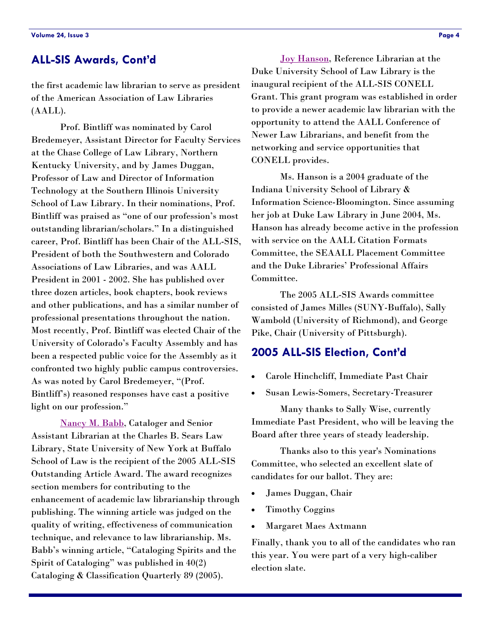# <span id="page-3-0"></span>**ALL-SIS Awards, Cont'd**

the first academic law librarian to serve as president of the American Association of Law Libraries (AALL).

 Prof. Bintliff was nominated by Carol Bredemeyer, Assistant Director for Faculty Services at the Chase College of Law Library, Northern Kentucky University, and by James Duggan, Professor of Law and Director of Information Technology at the Southern Illinois University School of Law Library. In their nominations, Prof. Bintliff was praised as "one of our profession's most outstanding librarian/scholars." In a distinguished career, Prof. Bintliff has been Chair of the ALL-SIS, President of both the Southwestern and Colorado Associations of Law Libraries, and was AALL President in 2001 - 2002. She has published over three dozen articles, book chapters, book reviews and other publications, and has a similar number of professional presentations throughout the nation. Most recently, Prof. Bintliff was elected Chair of the University of Colorado's Faculty Assembly and has been a respected public voice for the Assembly as it confronted two highly public campus controversies. As was noted by Carol Bredemeyer, "(Prof. Bintliff's) reasoned responses have cast a positive light on our profession."

[Nancy M. Babb](http://ublib.buffalo.edu/libraries/units/law/staff/babb.html), Cataloger and Senior Assistant Librarian at the Charles B. Sears Law Library, State University of New York at Buffalo School of Law is the recipient of the 2005 ALL-SIS Outstanding Article Award. The award recognizes section members for contributing to the enhancement of academic law librarianship through publishing. The winning article was judged on the quality of writing, effectiveness of communication technique, and relevance to law librarianship. Ms. Babb's winning article, "Cataloging Spirits and the Spirit of Cataloging" was published in 40(2) Cataloging & Classification Quarterly 89 (2005).

[Joy Hanson](http://www.law.duke.edu/fac/hanson/), Reference Librarian at the Duke University School of Law Library is the inaugural recipient of the ALL-SIS CONELL Grant. This grant program was established in order to provide a newer academic law librarian with the opportunity to attend the AALL Conference of Newer Law Librarians, and benefit from the networking and service opportunities that CONELL provides.

 Ms. Hanson is a 2004 graduate of the Indiana University School of Library & Information Science-Bloomington. Since assuming her job at Duke Law Library in June 2004, Ms. Hanson has already become active in the profession with service on the AALL Citation Formats Committee, the SEAALL Placement Committee and the Duke Libraries' Professional Affairs Committee.

 The 2005 ALL-SIS Awards committee consisted of James Milles (SUNY-Buffalo), Sally Wambold (University of Richmond), and George Pike, Chair (University of Pittsburgh).

#### **2005 ALL-SIS Election, Cont'd**

- Carole Hinchcliff, Immediate Past Chair
- Susan Lewis-Somers, Secretary-Treasurer

 Many thanks to Sally Wise, currently Immediate Past President, who will be leaving the Board after three years of steady leadership.

 Thanks also to this year's Nominations Committee, who selected an excellent slate of candidates for our ballot. They are:

- James Duggan, Chair
- Timothy Coggins
- Margaret Maes Axtmann

Finally, thank you to all of the candidates who ran this year. You were part of a very high-caliber election slate.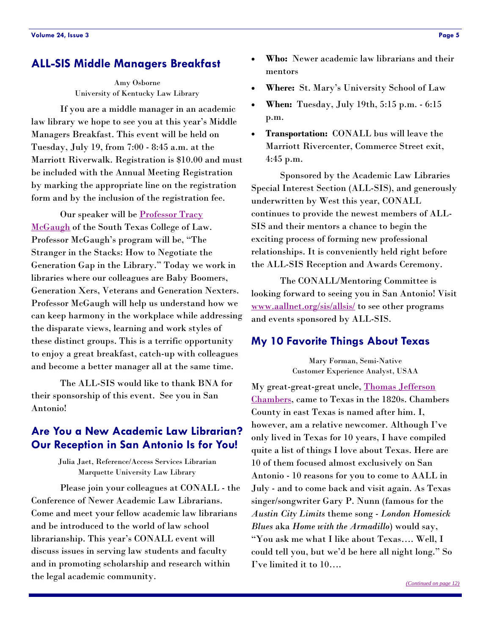# <span id="page-4-0"></span>**ALL-SIS Middle Managers Breakfast**

Amy Osborne University of Kentucky Law Library

 If you are a middle manager in an academic law library we hope to see you at this year's Middle Managers Breakfast. This event will be held on Tuesday, July 19, from 7:00 - 8:45 a.m. at the Marriott Riverwalk. Registration is \$10.00 and must be included with the Annual Meeting Registration by marking the appropriate line on the registration form and by the inclusion of the registration fee.

Our speaker will be **Professor Tracy** [McGaugh of the South Texas College of Law](http://www.stcl.edu/faculty-dir/Tracy_McGaugh.htm). Professor McGaugh's program will be, "The Stranger in the Stacks: How to Negotiate the Generation Gap in the Library." Today we work in libraries where our colleagues are Baby Boomers, Generation Xers, Veterans and Generation Nexters. Professor McGaugh will help us understand how we can keep harmony in the workplace while addressing the disparate views, learning and work styles of these distinct groups. This is a terrific opportunity to enjoy a great breakfast, catch-up with colleagues and become a better manager all at the same time.

 The ALL-SIS would like to thank BNA for their sponsorship of this event. See you in San Antonio!

# **Are You a New Academic Law Librarian? Our Reception in San Antonio Is for You!**

Julia Jaet, Reference/Access Services Librarian Marquette University Law Library

 Please join your colleagues at CONALL - the Conference of Newer Academic Law Librarians. Come and meet your fellow academic law librarians and be introduced to the world of law school librarianship. This year's CONALL event will discuss issues in serving law students and faculty and in promoting scholarship and research within the legal academic community.

- **Who:** Newer academic law librarians and their mentors
- **Where:** St. Mary's University School of Law
- **When:** Tuesday, July 19th, 5:15 p.m. 6:15 p.m.
- **Transportation:** CONALL bus will leave the Marriott Rivercenter, Commerce Street exit, 4:45 p.m.

 Sponsored by the Academic Law Libraries Special Interest Section (ALL-SIS), and generously underwritten by West this year, CONALL continues to provide the newest members of ALL-SIS and their mentors a chance to begin the exciting process of forming new professional relationships. It is conveniently held right before the ALL-SIS Reception and Awards Ceremony.

 The CONALL/Mentoring Committee is looking forward to seeing you in San Antonio! Visit [www.aallnet.org/sis/allsis/](http://aallnet.org/sis/allsis/) to see other programs and events sponsored by ALL-SIS.

## **My 10 Favorite Things About Texas**

Mary Forman, Semi-Native Customer Experience Analyst, USAA

[My great-great-great uncle, Thomas Jefferson](http://www.tsha.utexas.edu/handbook/online/articles/view/CC/fch8.html) Chambers, came to Texas in the 1820s. Chambers County in east Texas is named after him. I, however, am a relative newcomer. Although I've only lived in Texas for 10 years, I have compiled quite a list of things I love about Texas. Here are 10 of them focused almost exclusively on San Antonio - 10 reasons for you to come to AALL in July - and to come back and visit again. As Texas singer/songwriter Gary P. Nunn (famous for the *Austin City Limits* theme song - *London Homesick Blues* aka *Home with the Armadillo*) would say, "You ask me what I like about Texas…. Well, I could tell you, but we'd be here all night long." So I've limited it to 10….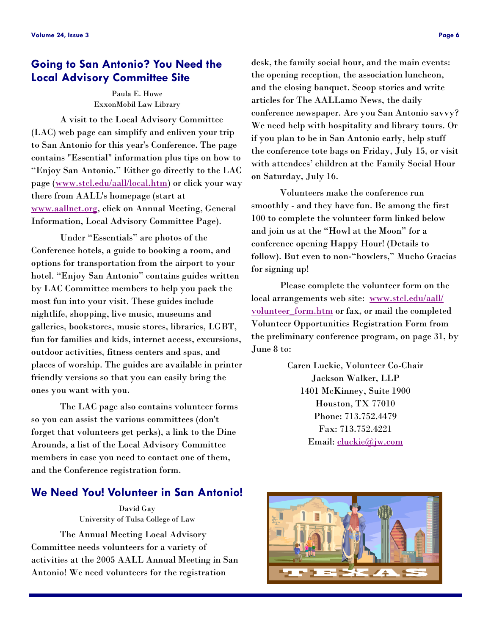# **Going to San Antonio? You Need the Local Advisory Committee Site**

Paula E. Howe ExxonMobil Law Library

 A visit to the Local Advisory Committee (LAC) web page can simplify and enliven your trip to San Antonio for this year's Conference. The page contains "Essential" information plus tips on how to "Enjoy San Antonio." Either go directly to the LAC page [\(www.stcl.edu/aall/local.htm\)](http://www.stcl.edu/aall/local.htm) or click your way there from AALL's homepage (start at [www.aallnet.org](http://www.aallnet.org), click on Annual Meeting, General Information, Local Advisory Committee Page).

 Under "Essentials" are photos of the Conference hotels, a guide to booking a room, and options for transportation from the airport to your hotel. "Enjoy San Antonio" contains guides written by LAC Committee members to help you pack the most fun into your visit. These guides include nightlife, shopping, live music, museums and galleries, bookstores, music stores, libraries, LGBT, fun for families and kids, internet access, excursions, outdoor activities, fitness centers and spas, and places of worship. The guides are available in printer friendly versions so that you can easily bring the ones you want with you.

 The LAC page also contains volunteer forms so you can assist the various committees (don't forget that volunteers get perks), a link to the Dine Arounds, a list of the Local Advisory Committee members in case you need to contact one of them, and the Conference registration form.

# **We Need You! Volunteer in San Antonio!**

David Gay University of Tulsa College of Law

 The Annual Meeting Local Advisory Committee needs volunteers for a variety of activities at the 2005 AALL Annual Meeting in San Antonio! We need volunteers for the registration

desk, the family social hour, and the main events: the opening reception, the association luncheon, and the closing banquet. Scoop stories and write articles for The AALLamo News, the daily conference newspaper. Are you San Antonio savvy? We need help with hospitality and library tours. Or if you plan to be in San Antonio early, help stuff the conference tote bags on Friday, July 15, or visit with attendees' children at the Family Social Hour on Saturday, July 16.

 Volunteers make the conference run smoothly - and they have fun. Be among the first 100 to complete the volunteer form linked below and join us at the "Howl at the Moon" for a conference opening Happy Hour! (Details to follow). But even to non-"howlers," Mucho Gracias for signing up!

 Please complete the volunteer form on the [local arrangements web site: www.stcl.edu/aall/](http://www.stcl.edu/aall/volunteer_form.htm) volunteer\_form.htm or fax, or mail the completed Volunteer Opportunities Registration Form from the preliminary conference program, on page 31, by June 8 to:

> Caren Luckie, Volunteer Co-Chair Jackson Walker, LLP 1401 McKinney, Suite 1900 Houston, TX 77010 Phone: 713.752.4479 Fax: 713.752.4221 Email: [cluckie@jw.com](mailto:cluckie@jw.com)

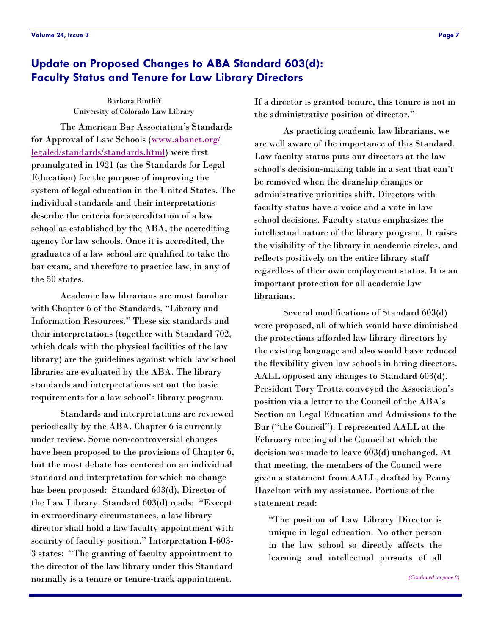# <span id="page-6-0"></span>**Update on Proposed Changes to ABA Standard 603(d): Faculty Status and Tenure for Law Library Directors**

Barbara Bintliff University of Colorado Law Library

 The American Bar Association's Standards [for Approval of Law Schools \(www.abanet.org/](http://www.abanet.org/legaled/standards/standards.html) legaled/standards/standards.html) were first promulgated in 1921 (as the Standards for Legal Education) for the purpose of improving the system of legal education in the United States. The individual standards and their interpretations describe the criteria for accreditation of a law school as established by the ABA, the accrediting agency for law schools. Once it is accredited, the graduates of a law school are qualified to take the bar exam, and therefore to practice law, in any of the 50 states.

 Academic law librarians are most familiar with Chapter 6 of the Standards, "Library and Information Resources." These six standards and their interpretations (together with Standard 702, which deals with the physical facilities of the law library) are the guidelines against which law school libraries are evaluated by the ABA. The library standards and interpretations set out the basic requirements for a law school's library program.

 Standards and interpretations are reviewed periodically by the ABA. Chapter 6 is currently under review. Some non-controversial changes have been proposed to the provisions of Chapter 6, but the most debate has centered on an individual standard and interpretation for which no change has been proposed: Standard 603(d), Director of the Law Library. Standard 603(d) reads: "Except in extraordinary circumstances, a law library director shall hold a law faculty appointment with security of faculty position." Interpretation I-603- 3 states: "The granting of faculty appointment to the director of the law library under this Standard normally is a tenure or tenure-track appointment.

If a director is granted tenure, this tenure is not in the administrative position of director."

 As practicing academic law librarians, we are well aware of the importance of this Standard. Law faculty status puts our directors at the law school's decision-making table in a seat that can't be removed when the deanship changes or administrative priorities shift. Directors with faculty status have a voice and a vote in law school decisions. Faculty status emphasizes the intellectual nature of the library program. It raises the visibility of the library in academic circles, and reflects positively on the entire library staff regardless of their own employment status. It is an important protection for all academic law librarians.

 Several modifications of Standard 603(d) were proposed, all of which would have diminished the protections afforded law library directors by the existing language and also would have reduced the flexibility given law schools in hiring directors. AALL opposed any changes to Standard 603(d). President Tory Trotta conveyed the Association's position via a letter to the Council of the ABA's Section on Legal Education and Admissions to the Bar ("the Council"). I represented AALL at the February meeting of the Council at which the decision was made to leave 603(d) unchanged. At that meeting, the members of the Council were given a statement from AALL, drafted by Penny Hazelton with my assistance. Portions of the statement read:

"The position of Law Library Director is unique in legal education. No other person in the law school so directly affects the learning and intellectual pursuits of all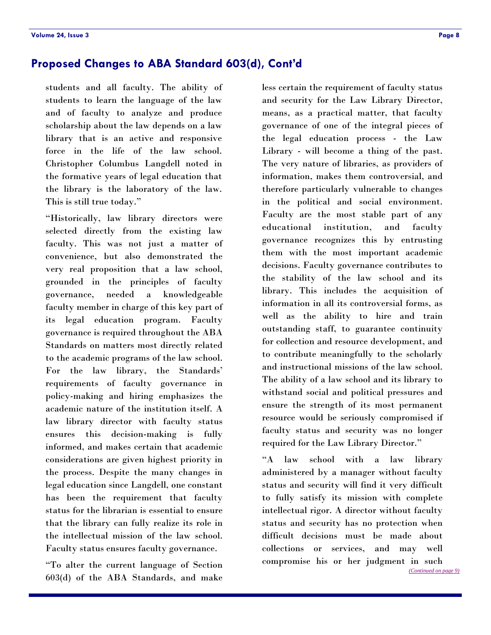# <span id="page-7-0"></span>**Proposed Changes to ABA Standard 603(d), Cont'd**

students and all faculty. The ability of students to learn the language of the law and of faculty to analyze and produce scholarship about the law depends on a law library that is an active and responsive force in the life of the law school. Christopher Columbus Langdell noted in the formative years of legal education that the library is the laboratory of the law. This is still true today."

"Historically, law library directors were selected directly from the existing law faculty. This was not just a matter of convenience, but also demonstrated the very real proposition that a law school, grounded in the principles of faculty governance, needed a knowledgeable faculty member in charge of this key part of its legal education program. Faculty governance is required throughout the ABA Standards on matters most directly related to the academic programs of the law school. For the law library, the Standards' requirements of faculty governance in policy-making and hiring emphasizes the academic nature of the institution itself. A law library director with faculty status ensures this decision-making is fully informed, and makes certain that academic considerations are given highest priority in the process. Despite the many changes in legal education since Langdell, one constant has been the requirement that faculty status for the librarian is essential to ensure that the library can fully realize its role in the intellectual mission of the law school. Faculty status ensures faculty governance.

"To alter the current language of Section 603(d) of the ABA Standards, and make less certain the requirement of faculty status and security for the Law Library Director, means, as a practical matter, that faculty governance of one of the integral pieces of the legal education process - the Law Library - will become a thing of the past. The very nature of libraries, as providers of information, makes them controversial, and therefore particularly vulnerable to changes in the political and social environment. Faculty are the most stable part of any educational institution, and faculty governance recognizes this by entrusting them with the most important academic decisions. Faculty governance contributes to the stability of the law school and its library. This includes the acquisition of information in all its controversial forms, as well as the ability to hire and train outstanding staff, to guarantee continuity for collection and resource development, and to contribute meaningfully to the scholarly and instructional missions of the law school. The ability of a law school and its library to withstand social and political pressures and ensure the strength of its most permanent resource would be seriously compromised if faculty status and security was no longer required for the Law Library Director."

"A law school with a law library administered by a manager without faculty status and security will find it very difficult to fully satisfy its mission with complete intellectual rigor. A director without faculty status and security has no protection when difficult decisions must be made about collections or services, and may well compromise his or her judgment in such *[\(Continued on page 9\)](#page-8-0)*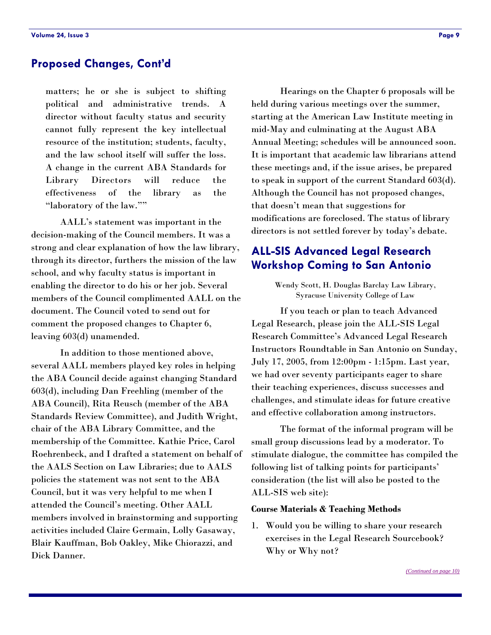# <span id="page-8-0"></span>**Proposed Changes, Cont'd**

matters; he or she is subject to shifting political and administrative trends. A director without faculty status and security cannot fully represent the key intellectual resource of the institution; students, faculty, and the law school itself will suffer the loss. A change in the current ABA Standards for Library Directors will reduce the effectiveness of the library as the "laboratory of the law.""

 AALL's statement was important in the decision-making of the Council members. It was a strong and clear explanation of how the law library, through its director, furthers the mission of the law school, and why faculty status is important in enabling the director to do his or her job. Several members of the Council complimented AALL on the document. The Council voted to send out for comment the proposed changes to Chapter 6, leaving 603(d) unamended.

 In addition to those mentioned above, several AALL members played key roles in helping the ABA Council decide against changing Standard 603(d), including Dan Freehling (member of the ABA Council), Rita Reusch (member of the ABA Standards Review Committee), and Judith Wright, chair of the ABA Library Committee, and the membership of the Committee. Kathie Price, Carol Roehrenbeck, and I drafted a statement on behalf of the AALS Section on Law Libraries; due to AALS policies the statement was not sent to the ABA Council, but it was very helpful to me when I attended the Council's meeting. Other AALL members involved in brainstorming and supporting activities included Claire Germain, Lolly Gasaway, Blair Kauffman, Bob Oakley, Mike Chiorazzi, and Dick Danner.

 Hearings on the Chapter 6 proposals will be held during various meetings over the summer, starting at the American Law Institute meeting in mid-May and culminating at the August ABA Annual Meeting; schedules will be announced soon. It is important that academic law librarians attend these meetings and, if the issue arises, be prepared to speak in support of the current Standard 603(d). Although the Council has not proposed changes, that doesn't mean that suggestions for modifications are foreclosed. The status of library directors is not settled forever by today's debate.

# **ALL-SIS Advanced Legal Research Workshop Coming to San Antonio**

Wendy Scott, H. Douglas Barclay Law Library, Syracuse University College of Law

 If you teach or plan to teach Advanced Legal Research, please join the ALL-SIS Legal Research Committee's Advanced Legal Research Instructors Roundtable in San Antonio on Sunday, July 17, 2005, from 12:00pm - 1:15pm. Last year, we had over seventy participants eager to share their teaching experiences, discuss successes and challenges, and stimulate ideas for future creative and effective collaboration among instructors.

 The format of the informal program will be small group discussions lead by a moderator. To stimulate dialogue, the committee has compiled the following list of talking points for participants' consideration (the list will also be posted to the ALL-SIS web site):

#### **Course Materials & Teaching Methods**

1. Would you be willing to share your research exercises in the Legal Research Sourcebook? Why or Why not?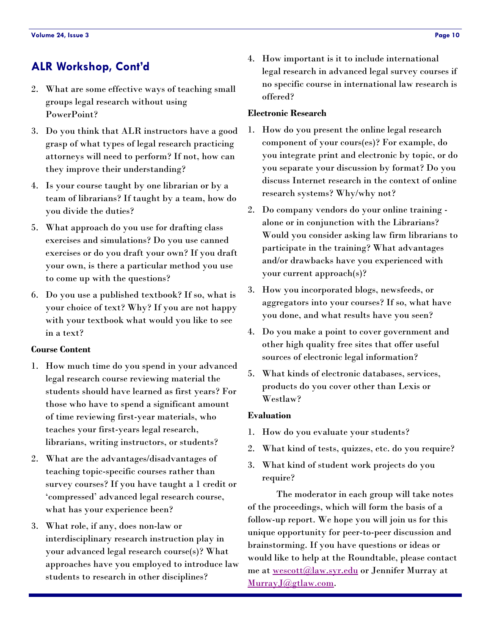# <span id="page-9-0"></span>**ALR Workshop, Cont'd**

- 2. What are some effective ways of teaching small groups legal research without using PowerPoint?
- 3. Do you think that ALR instructors have a good grasp of what types of legal research practicing attorneys will need to perform? If not, how can they improve their understanding?
- 4. Is your course taught by one librarian or by a team of librarians? If taught by a team, how do you divide the duties?
- 5. What approach do you use for drafting class exercises and simulations? Do you use canned exercises or do you draft your own? If you draft your own, is there a particular method you use to come up with the questions?
- 6. Do you use a published textbook? If so, what is your choice of text? Why? If you are not happy with your textbook what would you like to see in a text?

# **Course Content**

- 1. How much time do you spend in your advanced legal research course reviewing material the students should have learned as first years? For those who have to spend a significant amount of time reviewing first-year materials, who teaches your first-years legal research, librarians, writing instructors, or students?
- 2. What are the advantages/disadvantages of teaching topic-specific courses rather than survey courses? If you have taught a 1 credit or 'compressed' advanced legal research course, what has your experience been?
- 3. What role, if any, does non-law or interdisciplinary research instruction play in your advanced legal research course(s)? What approaches have you employed to introduce law students to research in other disciplines?

4. How important is it to include international legal research in advanced legal survey courses if no specific course in international law research is offered?

# **Electronic Research**

- 1. How do you present the online legal research component of your cours(es)? For example, do you integrate print and electronic by topic, or do you separate your discussion by format? Do you discuss Internet research in the context of online research systems? Why/why not?
- 2. Do company vendors do your online training alone or in conjunction with the Librarians? Would you consider asking law firm librarians to participate in the training? What advantages and/or drawbacks have you experienced with your current approach(s)?
- 3. How you incorporated blogs, newsfeeds, or aggregators into your courses? If so, what have you done, and what results have you seen?
- 4. Do you make a point to cover government and other high quality free sites that offer useful sources of electronic legal information?
- 5. What kinds of electronic databases, services, products do you cover other than Lexis or Westlaw?

#### **Evaluation**

- 1. How do you evaluate your students?
- 2. What kind of tests, quizzes, etc. do you require?
- 3. What kind of student work projects do you require?

 The moderator in each group will take notes of the proceedings, which will form the basis of a follow-up report. We hope you will join us for this unique opportunity for peer-to-peer discussion and brainstorming. If you have questions or ideas or would like to help at the Roundtable, please contact me at [wescott@law.syr.edu](mailto:wescott@law.syr.edu) or Jennifer Murray at [MurrayJ@gtlaw.com](mailto:MurrayJ@gtlaw.com).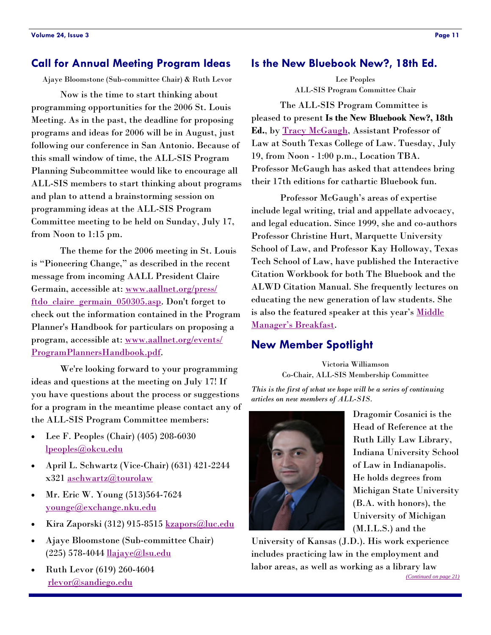#### <span id="page-10-0"></span>**Call for Annual Meeting Program Ideas**

Ajaye Bloomstone (Sub-committee Chair) & Ruth Levor

 Now is the time to start thinking about programming opportunities for the 2006 St. Louis Meeting. As in the past, the deadline for proposing programs and ideas for 2006 will be in August, just following our conference in San Antonio. Because of this small window of time, the ALL-SIS Program Planning Subcommittee would like to encourage all ALL-SIS members to start thinking about programs and plan to attend a brainstorming session on programming ideas at the ALL-SIS Program Committee meeting to be held on Sunday, July 17, from Noon to 1:15 pm.

 The theme for the 2006 meeting in St. Louis is "Pioneering Change," as described in the recent message from incoming AALL President Claire Germain, accessible at: www.aallnet.org/press/ [ftdo\\_claire\\_germain\\_050305.asp. Don't forget t](http://www.aallnet.org/press/ftdo_claire_germain_050305.asp)o check out the information contained in the Program Planner's Handbook for particulars on proposing a [program, accessible at: www.aallnet.org/events/](http://www.aallnet.org/events/ProgramPlannersHandbook.pdf) ProgramPlannersHandbook.pdf.

 We're looking forward to your programming ideas and questions at the meeting on July 17! If you have questions about the process or suggestions for a program in the meantime please contact any of the ALL-SIS Program Committee members:

- Lee F. Peoples (Chair) (405) 208-6030 [lpeoples@okcu.edu](mailto:lpeoples@okcu.edu)
- April L. Schwartz (Vice-Chair) (631) 421-2244 x321 [aschwartz@tourolaw](mailto:aschwartz@tourolaw)
- Mr. Eric W. Young (513)564-7624 [younge@exchange.nku.edu](mailto:younge@exchange.nku.edu)
- Kira Zaporski (312) 915-8515 [kzapors@luc.edu](mailto:kzapors@luc.edu)
- Ajaye Bloomstone (Sub-committee Chair) (225) 578-4044 [llajaye@lsu.edu](mailto:llajaye@lsu.edu)
- Ruth Levor (619) 260-4604 [rlevor@sandiego.edu](mailto:rlevor@sandiego.edu)

#### **Is the New Bluebook New?, 18th Ed.**

Lee Peoples ALL-SIS Program Committee Chair

 The ALL-SIS Program Committee is pleased to present **Is the New Bluebook New?, 18th Ed.**, by [Tracy McGaugh,](http://www.stcl.edu/faculty-dir/Tracy_McGaugh.htm) Assistant Professor of Law at South Texas College of Law. Tuesday, July 19, from Noon - 1:00 p.m., Location TBA. Professor McGaugh has asked that attendees bring their 17th editions for cathartic Bluebook fun.

 Professor McGaugh's areas of expertise include legal writing, trial and appellate advocacy, and legal education. Since 1999, she and co-authors Professor Christine Hurt, Marquette University School of Law, and Professor Kay Holloway, Texas Tech School of Law, have published the Interactive Citation Workbook for both The Bluebook and the ALWD Citation Manual. She frequently lectures on educating the new generation of law students. She is also the featured speaker at this year's Middle Manager's Breakfast.

## **New Member Spotlight**

Victoria Williamson Co-Chair, ALL-SIS Membership Committee

*This is the first of what we hope will be a series of continuing articles on new members of ALL-SIS.* 



Dragomir Cosanici is the Head of Reference at the Ruth Lilly Law Library, Indiana University School of Law in Indianapolis. He holds degrees from Michigan State University (B.A. with honors), the University of Michigan (M.I.L.S.) and the

University of Kansas (J.D.). His work experience includes practicing law in the employment and labor areas, as well as working as a library law *[\(Continued on page 21\)](#page-20-0)*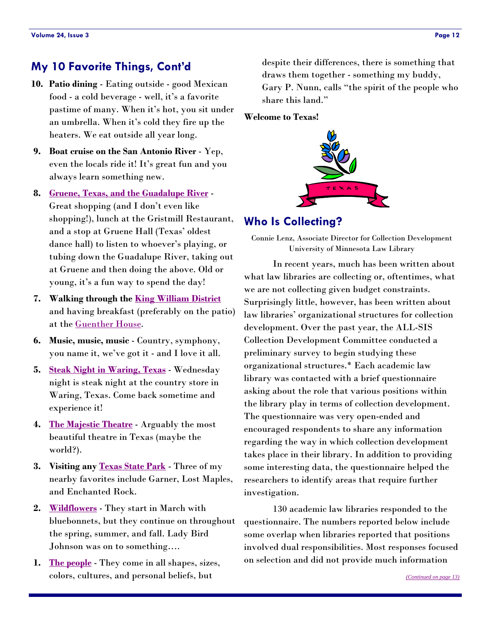- **10. Patio dining** Eating outside good Mexican food - a cold beverage - well, it's a favorite pastime of many. When it's hot, you sit under an umbrella. When it's cold they fire up the heaters. We eat outside all year long.
- **9. Boat cruise on the San Antonio River** Yep, even the locals ride it! It's great fun and you always learn something new.
- **8. [Gruene, Texas, and the Guadalupe River](http://www.touringtexas.com/gruene/)** Great shopping (and I don't even like shopping!), lunch at the Gristmill Restaurant, and a stop at Gruene Hall (Texas' oldest dance hall) to listen to whoever's playing, or tubing down the Guadalupe River, taking out at Gruene and then doing the above. Old or young, it's a fun way to spend the day!
- **7. Walking through the [King William District](http://www.accd.edu/sac/english/mcquien/htmlfils/kingwill.htm)** and having breakfast (preferably on the patio) at the [Guenther House.](http://www.guentherhouse.com/)
- **6. Music, music, music**  Country, symphony, you name it, we've got it - and I love it all.
- **5. [Steak Night in Waring, Texas](http://www.steaknite.com/)** Wednesday night is steak night at the country store in Waring, Texas. Come back sometime and experience it!
- **4. [The Majestic Theatre](http://www.majesticempire.com/)** Arguably the most beautiful theatre in Texas (maybe the world?).
- **3. Visiting any [Texas State Park](http://www.tpwd.state.tx.us/park/)** Three of my nearby favorites include Garner, Lost Maples, and Enchanted Rock.
- **2. [Wildflowers](http://www.tpwd.state.tx.us/park/wildflower/)** They start in March with bluebonnets, but they continue on throughout the spring, summer, and fall. Lady Bird Johnson was on to something….
- **1. [The people](http://www.texancultures.utsa.edu/public/)** They come in all shapes, sizes, colors, cultures, and personal beliefs, but

<span id="page-11-0"></span>**My 10 Favorite Things, Cont'd** despite their differences, there is something that draws them together - something my buddy, Gary P. Nunn, calls "the spirit of the people who share this land."

**Welcome to Texas!** 



# **Who Is Collecting?**

Connie Lenz, Associate Director for Collection Development University of Minnesota Law Library

 In recent years, much has been written about what law libraries are collecting or, oftentimes, what we are not collecting given budget constraints. Surprisingly little, however, has been written about law libraries' organizational structures for collection development. Over the past year, the ALL-SIS Collection Development Committee conducted a preliminary survey to begin studying these organizational structures.\* Each academic law library was contacted with a brief questionnaire asking about the role that various positions within the library play in terms of collection development. The questionnaire was very open-ended and encouraged respondents to share any information regarding the way in which collection development takes place in their library. In addition to providing some interesting data, the questionnaire helped the researchers to identify areas that require further investigation.

 130 academic law libraries responded to the questionnaire. The numbers reported below include some overlap when libraries reported that positions involved dual responsibilities. Most responses focused on selection and did not provide much information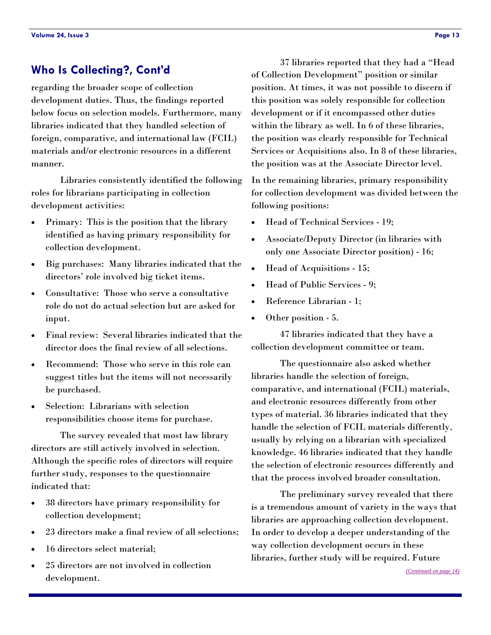# <span id="page-12-0"></span>**Who Is Collecting?, Cont'd**

regarding the broader scope of collection development duties. Thus, the findings reported below focus on selection models. Furthermore, many libraries indicated that they handled selection of foreign, comparative, and international law (FCIL) materials and/or electronic resources in a different manner.

 Libraries consistently identified the following roles for librarians participating in collection development activities:

- Primary: This is the position that the library identified as having primary responsibility for collection development.
- Big purchases: Many libraries indicated that the directors' role involved big ticket items.
- Consultative: Those who serve a consultative role do not do actual selection but are asked for input.
- Final review: Several libraries indicated that the director does the final review of all selections.
- Recommend: Those who serve in this role can suggest titles but the items will not necessarily be purchased.
- Selection: Librarians with selection responsibilities choose items for purchase.

 The survey revealed that most law library directors are still actively involved in selection. Although the specific roles of directors will require further study, responses to the questionnaire indicated that:

- 38 directors have primary responsibility for collection development;
- 23 directors make a final review of all selections;
- 16 directors select material;
- 25 directors are not involved in collection development.

 37 libraries reported that they had a "Head of Collection Development" position or similar position. At times, it was not possible to discern if this position was solely responsible for collection development or if it encompassed other duties within the library as well. In 6 of these libraries, the position was clearly responsible for Technical Services or Acquisitions also. In 8 of these libraries, the position was at the Associate Director level.

In the remaining libraries, primary responsibility for collection development was divided between the following positions:

- Head of Technical Services 19;
- Associate/Deputy Director (in libraries with only one Associate Director position) - 16;
- Head of Acquisitions 15;
- Head of Public Services 9;
- Reference Librarian 1;
- Other position 5.

 47 libraries indicated that they have a collection development committee or team.

 The questionnaire also asked whether libraries handle the selection of foreign, comparative, and international (FCIL) materials, and electronic resources differently from other types of material. 36 libraries indicated that they handle the selection of FCIL materials differently, usually by relying on a librarian with specialized knowledge. 46 libraries indicated that they handle the selection of electronic resources differently and that the process involved broader consultation.

 The preliminary survey revealed that there is a tremendous amount of variety in the ways that libraries are approaching collection development. In order to develop a deeper understanding of the way collection development occurs in these libraries, further study will be required. Future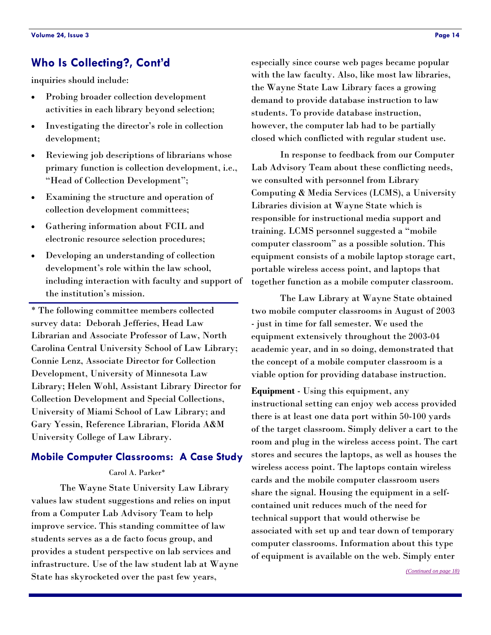# <span id="page-13-0"></span>**Who Is Collecting?, Cont'd**

inquiries should include:

- Probing broader collection development activities in each library beyond selection;
- Investigating the director's role in collection development;
- Reviewing job descriptions of librarians whose primary function is collection development, i.e., "Head of Collection Development";
- Examining the structure and operation of collection development committees;
- Gathering information about FCIL and electronic resource selection procedures;
- Developing an understanding of collection development's role within the law school, including interaction with faculty and support of the institution's mission.

\* The following committee members collected survey data: Deborah Jefferies, Head Law Librarian and Associate Professor of Law, North Carolina Central University School of Law Library; Connie Lenz, Associate Director for Collection Development, University of Minnesota Law Library; Helen Wohl, Assistant Library Director for Collection Development and Special Collections, University of Miami School of Law Library; and Gary Yessin, Reference Librarian, Florida A&M University College of Law Library.

#### **Mobile Computer Classrooms: A Case Study**

#### Carol A. Parker\*

 The Wayne State University Law Library values law student suggestions and relies on input from a Computer Lab Advisory Team to help improve service. This standing committee of law students serves as a de facto focus group, and provides a student perspective on lab services and infrastructure. Use of the law student lab at Wayne State has skyrocketed over the past few years,

especially since course web pages became popular with the law faculty. Also, like most law libraries, the Wayne State Law Library faces a growing demand to provide database instruction to law students. To provide database instruction, however, the computer lab had to be partially closed which conflicted with regular student use.

 In response to feedback from our Computer Lab Advisory Team about these conflicting needs, we consulted with personnel from Library Computing & Media Services (LCMS), a University Libraries division at Wayne State which is responsible for instructional media support and training. LCMS personnel suggested a "mobile computer classroom" as a possible solution. This equipment consists of a mobile laptop storage cart, portable wireless access point, and laptops that together function as a mobile computer classroom.

 The Law Library at Wayne State obtained two mobile computer classrooms in August of 2003 - just in time for fall semester. We used the equipment extensively throughout the 2003-04 academic year, and in so doing, demonstrated that the concept of a mobile computer classroom is a viable option for providing database instruction.

**Equipment** - Using this equipment, any instructional setting can enjoy web access provided there is at least one data port within 50-100 yards of the target classroom. Simply deliver a cart to the room and plug in the wireless access point. The cart stores and secures the laptops, as well as houses the wireless access point. The laptops contain wireless cards and the mobile computer classroom users share the signal. Housing the equipment in a selfcontained unit reduces much of the need for technical support that would otherwise be associated with set up and tear down of temporary computer classrooms. Information about this type of equipment is available on the web. Simply enter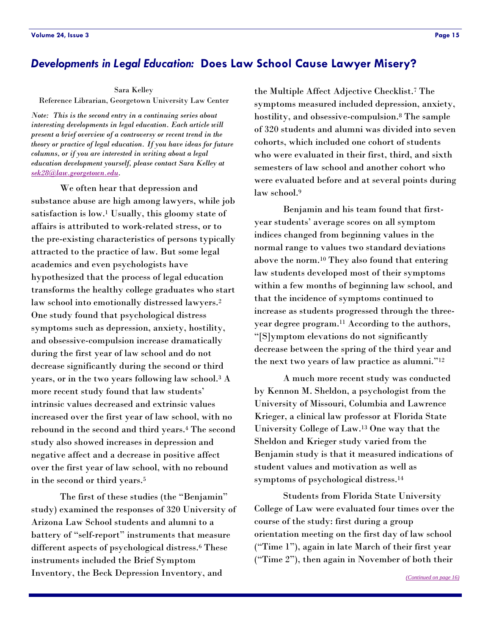# <span id="page-14-0"></span>*Developments in Legal Education:* **Does Law School Cause Lawyer Misery?**

#### Sara Kelley

Reference Librarian, Georgetown University Law Center

*Note: This is the second entry in a continuing series about interesting developments in legal education. Each article will present a brief overview of a controversy or recent trend in the theory or practice of legal education. If you have ideas for future columns, or if you are interested in writing about a legal education development yourself, please contact Sara Kelley at [sek28@law.georgetown.edu.](mailto:sek28@law.georgetown.edu)* 

 We often hear that depression and substance abuse are high among lawyers, while job satisfaction is low.1 Usually, this gloomy state of affairs is attributed to work-related stress, or to the pre-existing characteristics of persons typically attracted to the practice of law. But some legal academics and even psychologists have hypothesized that the process of legal education transforms the healthy college graduates who start law school into emotionally distressed lawyers.2 One study found that psychological distress symptoms such as depression, anxiety, hostility, and obsessive-compulsion increase dramatically during the first year of law school and do not decrease significantly during the second or third years, or in the two years following law school.3 A more recent study found that law students' intrinsic values decreased and extrinsic values increased over the first year of law school, with no rebound in the second and third years.4 The second study also showed increases in depression and negative affect and a decrease in positive affect over the first year of law school, with no rebound in the second or third years.5

 The first of these studies (the "Benjamin" study) examined the responses of 320 University of Arizona Law School students and alumni to a battery of "self-report" instruments that measure different aspects of psychological distress.<sup>6</sup> These instruments included the Brief Symptom Inventory, the Beck Depression Inventory, and

the Multiple Affect Adjective Checklist.7 The symptoms measured included depression, anxiety, hostility, and obsessive-compulsion.8 The sample of 320 students and alumni was divided into seven cohorts, which included one cohort of students who were evaluated in their first, third, and sixth semesters of law school and another cohort who were evaluated before and at several points during law school.<sup>9</sup>

 Benjamin and his team found that firstyear students' average scores on all symptom indices changed from beginning values in the normal range to values two standard deviations above the norm.10 They also found that entering law students developed most of their symptoms within a few months of beginning law school, and that the incidence of symptoms continued to increase as students progressed through the threeyear degree program.<sup>11</sup> According to the authors, "[S]ymptom elevations do not significantly decrease between the spring of the third year and the next two years of law practice as alumni."12

 A much more recent study was conducted by Kennon M. Sheldon, a psychologist from the University of Missouri, Columbia and Lawrence Krieger, a clinical law professor at Florida State University College of Law.13 One way that the Sheldon and Krieger study varied from the Benjamin study is that it measured indications of student values and motivation as well as symptoms of psychological distress.14

 Students from Florida State University College of Law were evaluated four times over the course of the study: first during a group orientation meeting on the first day of law school ("Time 1"), again in late March of their first year ("Time 2"), then again in November of both their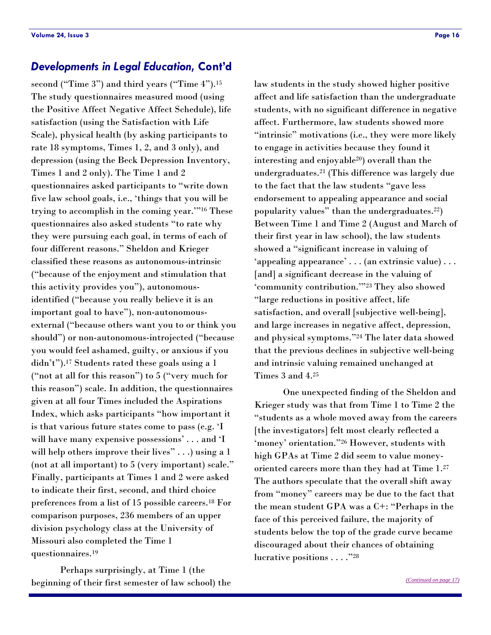# <span id="page-15-0"></span>*Developments in Legal Education***, Cont'd**

second ("Time 3") and third years ("Time 4").<sup>15</sup> The study questionnaires measured mood (using the Positive Affect Negative Affect Schedule), life satisfaction (using the Satisfaction with Life Scale), physical health (by asking participants to rate 18 symptoms, Times 1, 2, and 3 only), and depression (using the Beck Depression Inventory, Times 1 and 2 only). The Time 1 and 2 questionnaires asked participants to "write down five law school goals, i.e., 'things that you will be trying to accomplish in the coming year.'"16 These questionnaires also asked students "to rate why they were pursuing each goal, in terms of each of four different reasons." Sheldon and Krieger classified these reasons as autonomous-intrinsic ("because of the enjoyment and stimulation that this activity provides you"), autonomousidentified ("because you really believe it is an important goal to have"), non-autonomousexternal ("because others want you to or think you should") or non-autonomous-introjected ("because you would feel ashamed, guilty, or anxious if you didn't").17 Students rated these goals using a 1 ("not at all for this reason") to 5 ("very much for this reason") scale. In addition, the questionnaires given at all four Times included the Aspirations Index, which asks participants "how important it is that various future states come to pass (e.g. 'I will have many expensive possessions' . . . and 'I will help others improve their lives" . . .) using a 1 (not at all important) to 5 (very important) scale." Finally, participants at Times 1 and 2 were asked to indicate their first, second, and third choice preferences from a list of 15 possible careers.18 For comparison purposes, 236 members of an upper division psychology class at the University of Missouri also completed the Time 1 questionnaires.19

 Perhaps surprisingly, at Time 1 (the beginning of their first semester of law school) the law students in the study showed higher positive affect and life satisfaction than the undergraduate students, with no significant difference in negative affect. Furthermore, law students showed more "intrinsic" motivations (i.e., they were more likely to engage in activities because they found it interesting and enjoyable20) overall than the undergraduates.21 (This difference was largely due to the fact that the law students "gave less endorsement to appealing appearance and social popularity values" than the undergraduates.22) Between Time 1 and Time 2 (August and March of their first year in law school), the law students showed a "significant increase in valuing of 'appealing appearance' . . . (an extrinsic value) . . . [and] a significant decrease in the valuing of 'community contribution.'"23 They also showed "large reductions in positive affect, life satisfaction, and overall [subjective well-being], and large increases in negative affect, depression, and physical symptoms."24 The later data showed that the previous declines in subjective well-being and intrinsic valuing remained unchanged at Times 3 and 4.25

 One unexpected finding of the Sheldon and Krieger study was that from Time 1 to Time 2 the "students as a whole moved away from the careers [the investigators] felt most clearly reflected a 'money' orientation."26 However, students with high GPAs at Time 2 did seem to value moneyoriented careers more than they had at Time 1.27 The authors speculate that the overall shift away from "money" careers may be due to the fact that the mean student GPA was a C+: "Perhaps in the face of this perceived failure, the majority of students below the top of the grade curve became discouraged about their chances of obtaining lucrative positions . . . . "<sup>28</sup>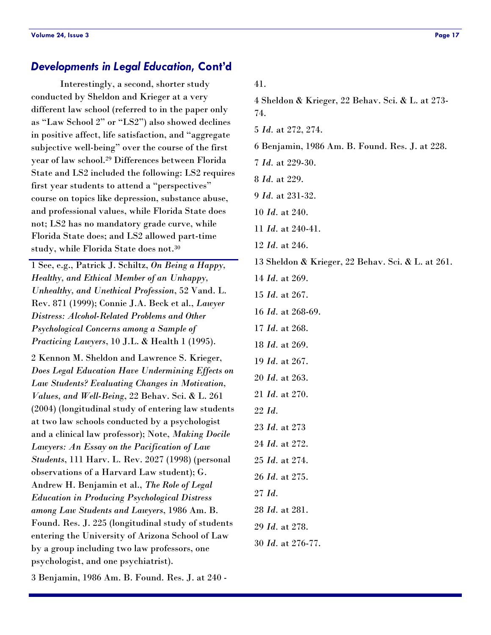# <span id="page-16-0"></span>*Developments in Legal Education***, Cont'd**

 Interestingly, a second, shorter study conducted by Sheldon and Krieger at a very different law school (referred to in the paper only as "Law School 2" or "LS2") also showed declines in positive affect, life satisfaction, and "aggregate subjective well-being" over the course of the first year of law school.29 Differences between Florida State and LS2 included the following: LS2 requires first year students to attend a "perspectives" course on topics like depression, substance abuse, and professional values, while Florida State does not; LS2 has no mandatory grade curve, while Florida State does; and LS2 allowed part-time study, while Florida State does not.30

1 See, e.g., Patrick J. Schiltz, *On Being a Happy, Healthy, and Ethical Member of an Unhappy, Unhealthy, and Unethical Profession*, 52 Vand. L. Rev. 871 (1999); Connie J.A. Beck et al., *Lawyer Distress: Alcohol-Related Problems and Other Psychological Concerns among a Sample of Practicing Lawyers*, 10 J.L. & Health 1 (1995).

2 Kennon M. Sheldon and Lawrence S. Krieger, *Does Legal Education Have Undermining Effects on Law Students? Evaluating Changes in Motivation, Values, and Well-Being*, 22 Behav. Sci. & L. 261 (2004) (longitudinal study of entering law students at two law schools conducted by a psychologist and a clinical law professor); Note, *Making Docile Lawyers: An Essay on the Pacification of Law Students*, 111 Harv. L. Rev. 2027 (1998) (personal observations of a Harvard Law student); G. Andrew H. Benjamin et al., *The Role of Legal Education in Producing Psychological Distress among Law Students and Lawyers*, 1986 Am. B. Found. Res. J. 225 (longitudinal study of students entering the University of Arizona School of Law by a group including two law professors, one psychologist, and one psychiatrist).

3 Benjamin, 1986 Am. B. Found. Res. J. at 240 -

41.

4 Sheldon & Krieger, 22 Behav. Sci. & L. at 273- 74.

- 5 *Id.* at 272, 274.
- 6 Benjamin, 1986 Am. B. Found. Res. J. at 228.
- 7 *Id.* at 229-30.
- 8 *Id.* at 229.
- 9 *Id.* at 231-32.
- 10 *Id.* at 240.
- 11 *Id.* at 240-41.
- 12 *Id.* at 246.
- 13 Sheldon & Krieger, 22 Behav. Sci. & L. at 261.
- 14 *Id.* at 269.
- 15 *Id.* at 267.
- 16 *Id.* at 268-69.
- 17 *Id.* at 268.
- 18 *Id.* at 269.
- 19 *Id.* at 267.
- 20 *Id.* at 263.
- 21 *Id.* at 270.
- 22 *Id.*
- 23 *Id.* at 273
- 24 *Id.* at 272.
- 25 *Id.* at 274.
- 26 *Id.* at 275.
- 27 *Id.*
- 28 *Id.* at 281.
- 29 *Id.* at 278.
- 30 *Id.* at 276-77.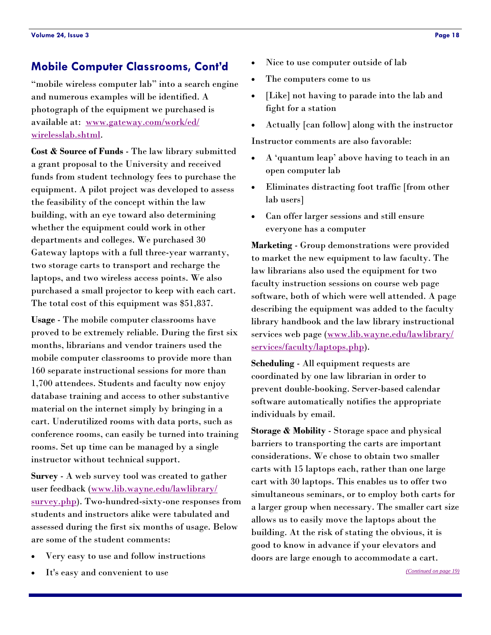# <span id="page-17-0"></span>**Mobile Computer Classrooms, Cont'd**

"mobile wireless computer lab" into a search engine and numerous examples will be identified. A photograph of the equipment we purchased is [available at: www.gateway.com/work/ed/](http://www.gateway.com/work/ed/wirelesslab.shtml) wirelesslab.shtml.

**Cost & Source of Funds** - The law library submitted a grant proposal to the University and received funds from student technology fees to purchase the equipment. A pilot project was developed to assess the feasibility of the concept within the law building, with an eye toward also determining whether the equipment could work in other departments and colleges. We purchased 30 Gateway laptops with a full three-year warranty, two storage carts to transport and recharge the laptops, and two wireless access points. We also purchased a small projector to keep with each cart. The total cost of this equipment was \$51,837.

**Usage** - The mobile computer classrooms have proved to be extremely reliable. During the first six months, librarians and vendor trainers used the mobile computer classrooms to provide more than 160 separate instructional sessions for more than 1,700 attendees. Students and faculty now enjoy database training and access to other substantive material on the internet simply by bringing in a cart. Underutilized rooms with data ports, such as conference rooms, can easily be turned into training rooms. Set up time can be managed by a single instructor without technical support.

**Survey** - A web survey tool was created to gather [user feedback \(www.lib.wayne.edu/lawlibrary/](http://www.lib.wayne.edu/lawlibrary/survey.php) survey.php). Two-hundred-sixty-one responses from students and instructors alike were tabulated and assessed during the first six months of usage. Below are some of the student comments:

- Very easy to use and follow instructions
- It's easy and convenient to use
- Nice to use computer outside of lab
- The computers come to us
- [Like] not having to parade into the lab and fight for a station
- Actually [can follow] along with the instructor

Instructor comments are also favorable:

- A 'quantum leap' above having to teach in an open computer lab
- Eliminates distracting foot traffic [from other lab users]
- Can offer larger sessions and still ensure everyone has a computer

**Marketing** - Group demonstrations were provided to market the new equipment to law faculty. The law librarians also used the equipment for two faculty instruction sessions on course web page software, both of which were well attended. A page describing the equipment was added to the faculty library handbook and the law library instructional [services web page \(www.lib.wayne.edu/lawlibrary/](http://www.lib.wayne.edu/lawlibrary/services/faculty/laptops.php) services/faculty/laptops.php).

**Scheduling** - All equipment requests are coordinated by one law librarian in order to prevent double-booking. Server-based calendar software automatically notifies the appropriate individuals by email.

**Storage & Mobility** - Storage space and physical barriers to transporting the carts are important considerations. We chose to obtain two smaller carts with 15 laptops each, rather than one large cart with 30 laptops. This enables us to offer two simultaneous seminars, or to employ both carts for a larger group when necessary. The smaller cart size allows us to easily move the laptops about the building. At the risk of stating the obvious, it is good to know in advance if your elevators and doors are large enough to accommodate a cart.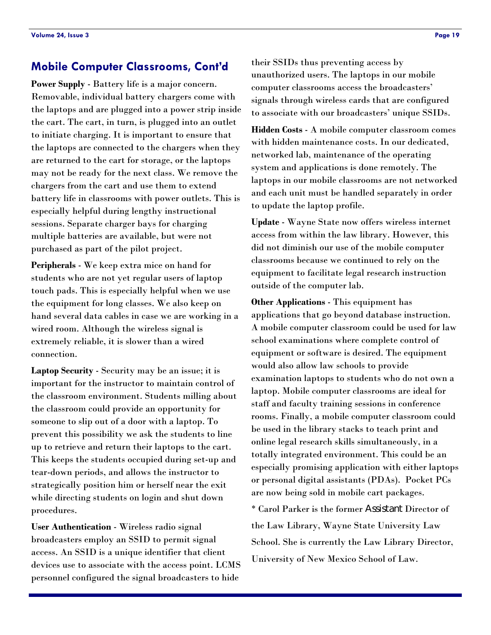# <span id="page-18-0"></span>**Mobile Computer Classrooms, Cont'd**

**Power Supply** - Battery life is a major concern. Removable, individual battery chargers come with the laptops and are plugged into a power strip inside the cart. The cart, in turn, is plugged into an outlet to initiate charging. It is important to ensure that the laptops are connected to the chargers when they are returned to the cart for storage, or the laptops may not be ready for the next class. We remove the chargers from the cart and use them to extend battery life in classrooms with power outlets. This is especially helpful during lengthy instructional sessions. Separate charger bays for charging multiple batteries are available, but were not purchased as part of the pilot project.

**Peripherals** - We keep extra mice on hand for students who are not yet regular users of laptop touch pads. This is especially helpful when we use the equipment for long classes. We also keep on hand several data cables in case we are working in a wired room. Although the wireless signal is extremely reliable, it is slower than a wired connection.

**Laptop Security** - Security may be an issue; it is important for the instructor to maintain control of the classroom environment. Students milling about the classroom could provide an opportunity for someone to slip out of a door with a laptop. To prevent this possibility we ask the students to line up to retrieve and return their laptops to the cart. This keeps the students occupied during set-up and tear-down periods, and allows the instructor to strategically position him or herself near the exit while directing students on login and shut down procedures.

**User Authentication** - Wireless radio signal broadcasters employ an SSID to permit signal access. An SSID is a unique identifier that client devices use to associate with the access point. LCMS personnel configured the signal broadcasters to hide

their SSIDs thus preventing access by unauthorized users. The laptops in our mobile computer classrooms access the broadcasters' signals through wireless cards that are configured to associate with our broadcasters' unique SSIDs.

**Hidden Costs** - A mobile computer classroom comes with hidden maintenance costs. In our dedicated, networked lab, maintenance of the operating system and applications is done remotely. The laptops in our mobile classrooms are not networked and each unit must be handled separately in order to update the laptop profile.

**Update** - Wayne State now offers wireless internet access from within the law library. However, this did not diminish our use of the mobile computer classrooms because we continued to rely on the equipment to facilitate legal research instruction outside of the computer lab.

**Other Applications** - This equipment has applications that go beyond database instruction. A mobile computer classroom could be used for law school examinations where complete control of equipment or software is desired. The equipment would also allow law schools to provide examination laptops to students who do not own a laptop. Mobile computer classrooms are ideal for staff and faculty training sessions in conference rooms. Finally, a mobile computer classroom could be used in the library stacks to teach print and online legal research skills simultaneously, in a totally integrated environment. This could be an especially promising application with either laptops or personal digital assistants (PDAs). Pocket PCs are now being sold in mobile cart packages.

\* Carol Parker is the former Assistant Director of the Law Library, Wayne State University Law School. She is currently the Law Library Director, University of New Mexico School of Law.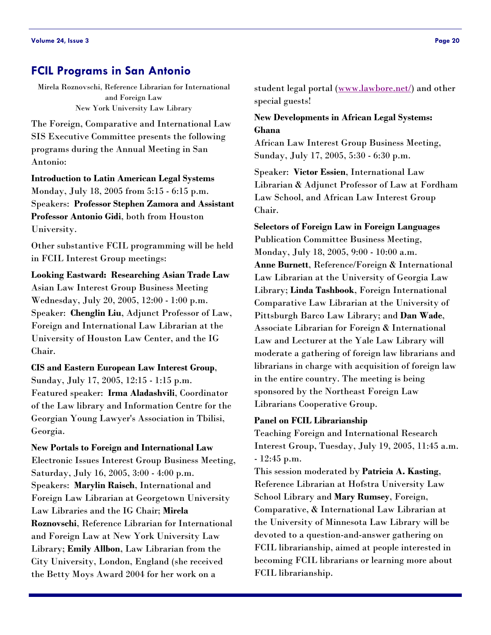#### <span id="page-19-0"></span>**FCIL Programs in San Antonio**

Mirela Roznovschi, Reference Librarian for International and Foreign Law New York University Law Library

The Foreign, Comparative and International Law SIS Executive Committee presents the following programs during the Annual Meeting in San Antonio:

**Introduction to Latin American Legal Systems** Monday, July 18, 2005 from 5:15 - 6:15 p.m. Speakers: **Professor Stephen Zamora and Assistant Professor Antonio Gidi**, both from Houston University.

Other substantive FCIL programming will be held in FCIL Interest Group meetings:

**Looking Eastward: Researching Asian Trade Law** Asian Law Interest Group Business Meeting Wednesday, July 20, 2005, 12:00 - 1:00 p.m. Speaker: **Chenglin Liu**, Adjunct Professor of Law, Foreign and International Law Librarian at the University of Houston Law Center, and the IG Chair.

**CIS and Eastern European Law Interest Group**, Sunday, July 17, 2005, 12:15 - 1:15 p.m. Featured speaker: **Irma Aladashvili**, Coordinator of the Law library and Information Centre for the Georgian Young Lawyer's Association in Tbilisi, Georgia.

**New Portals to Foreign and International Law** Electronic Issues Interest Group Business Meeting, Saturday, July 16, 2005, 3:00 - 4:00 p.m. Speakers: **Marylin Raisch**, International and Foreign Law Librarian at Georgetown University Law Libraries and the IG Chair; **Mirela Roznovschi**, Reference Librarian for International and Foreign Law at New York University Law Library; **Emily Allbon**, Law Librarian from the City University, London, England (she received the Betty Moys Award 2004 for her work on a

student legal portal ([www.lawbore.net/\)](http://www.lawbore.net/) and other special guests!

**New Developments in African Legal Systems: Ghana**

African Law Interest Group Business Meeting, Sunday, July 17, 2005, 5:30 - 6:30 p.m.

Speaker: **Victor Essien**, International Law Librarian & Adjunct Professor of Law at Fordham Law School, and African Law Interest Group Chair.

**Selectors of Foreign Law in Foreign Languages** Publication Committee Business Meeting, Monday, July 18, 2005, 9:00 - 10:00 a.m. **Anne Burnett**, Reference/Foreign & International Law Librarian at the University of Georgia Law Library; **Linda Tashbook**, Foreign International Comparative Law Librarian at the University of Pittsburgh Barco Law Library; and **Dan Wade**, Associate Librarian for Foreign & International Law and Lecturer at the Yale Law Library will moderate a gathering of foreign law librarians and librarians in charge with acquisition of foreign law in the entire country. The meeting is being sponsored by the Northeast Foreign Law Librarians Cooperative Group.

## **Panel on FCIL Librarianship**

Teaching Foreign and International Research Interest Group, Tuesday, July 19, 2005, 11:45 a.m. - 12:45 p.m.

This session moderated by **Patricia A. Kasting**, Reference Librarian at Hofstra University Law School Library and **Mary Rumsey**, Foreign, Comparative, & International Law Librarian at the University of Minnesota Law Library will be devoted to a question-and-answer gathering on FCIL librarianship, aimed at people interested in becoming FCIL librarians or learning more about FCIL librarianship.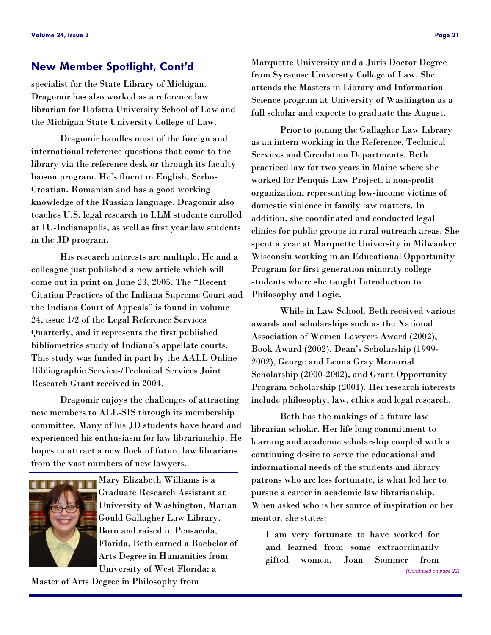# <span id="page-20-0"></span>**New Member Spotlight, Cont'd**

specialist for the State Library of Michigan. Dragomir has also worked as a reference law librarian for Hofstra University School of Law and the Michigan State University College of Law.

 Dragomir handles most of the foreign and international reference questions that come to the library via the reference desk or through its faculty liaison program. He's fluent in English, Serbo-Croatian, Romanian and has a good working knowledge of the Russian language. Dragomir also teaches U.S. legal research to LLM students enrolled at IU-Indianapolis, as well as first year law students in the JD program.

 His research interests are multiple. He and a colleague just published a new article which will come out in print on June 23, 2005. The "Recent Citation Practices of the Indiana Supreme Court and the Indiana Court of Appeals" is found in volume 24, issue 1/2 of the Legal Reference Services Quarterly, and it represents the first published bibliometrics study of Indiana's appellate courts. This study was funded in part by the AALL Online Bibliographic Services/Technical Services Joint Research Grant received in 2004.

 Dragomir enjoys the challenges of attracting new members to ALL-SIS through its membership committee. Many of his JD students have heard and experienced his enthusiasm for law librarianship. He hopes to attract a new flock of future law librarians from the vast numbers of new lawyers.



Mary Elizabeth Williams is a Graduate Research Assistant at University of Washington, Marian Gould Gallagher Law Library. Born and raised in Pensacola, Florida, Beth earned a Bachelor of Arts Degree in Humanities from University of West Florida; a

Marquette University and a Juris Doctor Degree from Syracuse University College of Law. She attends the Masters in Library and Information Science program at University of Washington as a full scholar and expects to graduate this August.

 Prior to joining the Gallagher Law Library as an intern working in the Reference, Technical Services and Circulation Departments, Beth practiced law for two years in Maine where she worked for Penquis Law Project, a non-profit organization, representing low-income victims of domestic violence in family law matters. In addition, she coordinated and conducted legal clinics for public groups in rural outreach areas. She spent a year at Marquette University in Milwaukee Wisconsin working in an Educational Opportunity Program for first generation minority college students where she taught Introduction to Philosophy and Logic.

 While in Law School, Beth received various awards and scholarships such as the National Association of Women Lawyers Award (2002), Book Award (2002), Dean's Scholarship (1999- 2002), George and Leona Gray Memorial Scholarship (2000-2002), and Grant Opportunity Program Scholarship (2001). Her research interests include philosophy, law, ethics and legal research.

 Beth has the makings of a future law librarian scholar. Her life long commitment to learning and academic scholarship coupled with a continuing desire to serve the educational and informational needs of the students and library patrons who are less fortunate, is what led her to pursue a career in academic law librarianship. When asked who is her source of inspiration or her mentor, she states:

I am very fortunate to have worked for and learned from some extraordinarily gifted women, Joan Sommer from *[\(Continued on page 22\)](#page-21-0)*

Master of Arts Degree in Philosophy from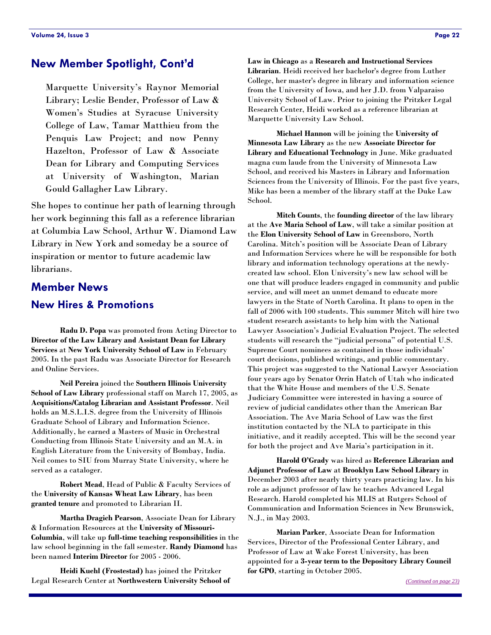Marquette University's Raynor Memorial Library; Leslie Bender, Professor of Law & Women's Studies at Syracuse University College of Law, Tamar Matthieu from the Penquis Law Project; and now Penny Hazelton, Professor of Law & Associate Dean for Library and Computing Services at University of Washington, Marian Gould Gallagher Law Library.

She hopes to continue her path of learning through her work beginning this fall as a reference librarian at Columbia Law School, Arthur W. Diamond Law Library in New York and someday be a source of inspiration or mentor to future academic law librarians.

# **Member News**

#### **New Hires & Promotions**

**Radu D. Popa** was promoted from Acting Director to **Director of the Law Library and Assistant Dean for Library Services** at **New York University School of Law** in February 2005. In the past Radu was Associate Director for Research and Online Services.

**Neil Pereira** joined the **Southern Illinois University School of Law Library** professional staff on March 17, 2005, as **Acquisitions/Catalog Librarian and Assistant Professor**. Neil holds an M.S.L.I.S. degree from the University of Illinois Graduate School of Library and Information Science. Additionally, he earned a Masters of Music in Orchestral Conducting from Illinois State University and an M.A. in English Literature from the University of Bombay, India. Neil comes to SIU from Murray State University, where he served as a cataloger.

**Robert Mead**, Head of Public & Faculty Services of the **University of Kansas Wheat Law Library**, has been **granted tenure** and promoted to Librarian II.

**Martha Dragich Pearson**, Associate Dean for Library & Information Resources at the **University of Missouri-Columbia**, will take up **full-time teaching responsibilities** in the law school beginning in the fall semester. **Randy Diamond** has been named **Interim Director** for 2005 - 2006.

**Heidi Kuehl (Frostestad)** has joined the Pritzker Legal Research Center at **Northwestern University School of** 

<span id="page-21-0"></span>**New Member Spotlight, Cont'd Law in Chicago** as a **Research and Instructional Services Librarian**. Heidi received her bachelor's degree from Luther College, her master's degree in library and information science from the University of Iowa, and her J.D. from Valparaiso University School of Law. Prior to joining the Pritzker Legal Research Center, Heidi worked as a reference librarian at Marquette University Law School.

> **Michael Hannon** will be joining the **University of Minnesota Law Library** as the new **Associate Director for Library and Educational Technology** in June. Mike graduated magna cum laude from the University of Minnesota Law School, and received his Masters in Library and Information Sciences from the University of Illinois. For the past five years, Mike has been a member of the library staff at the Duke Law School.

> **Mitch Counts**, the **founding director** of the law library at the **Ave Maria School of Law**, will take a similar position at the **Elon University School of Law** in Greensboro, North Carolina. Mitch's position will be Associate Dean of Library and Information Services where he will be responsible for both library and information technology operations at the newlycreated law school. Elon University's new law school will be one that will produce leaders engaged in community and public service, and will meet an unmet demand to educate more lawyers in the State of North Carolina. It plans to open in the fall of 2006 with 100 students. This summer Mitch will hire two student research assistants to help him with the National Lawyer Association's Judicial Evaluation Project. The selected students will research the "judicial persona" of potential U.S. Supreme Court nominees as contained in those individuals' court decisions, published writings, and public commentary. This project was suggested to the National Lawyer Association four years ago by Senator Orrin Hatch of Utah who indicated that the White House and members of the U.S. Senate Judiciary Committee were interested in having a source of review of judicial candidates other than the American Bar Association. The Ave Maria School of Law was the first institution contacted by the NLA to participate in this initiative, and it readily accepted. This will be the second year for both the project and Ave Maria's participation in it.

**Harold O'Grady** was hired as **Reference Librarian and Adjunct Professor of Law** at **Brooklyn Law School Library** in December 2003 after nearly thirty years practicing law. In his role as adjunct professor of law he teaches Advanced Legal Research. Harold completed his MLIS at Rutgers School of Communication and Information Sciences in New Brunswick, N.J., in May 2003.

**Marian Parker**, Associate Dean for Information Services, Director of the Professional Center Library, and Professor of Law at Wake Forest University, has been appointed for a **3-year term to the Depository Library Council for GPO**, starting in October 2005.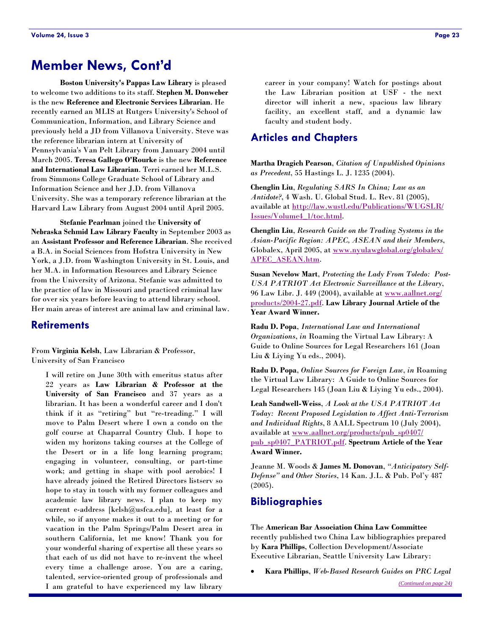# <span id="page-22-0"></span>**Member News, Cont'd**

**Boston University's Pappas Law Library** is pleased to welcome two additions to its staff. **Stephen M. Donweber** is the new **Reference and Electronic Services Librarian**. He recently earned an MLIS at Rutgers University's School of Communication, Information, and Library Science and previously held a JD from Villanova University. Steve was the reference librarian intern at University of Pennsylvania's Van Pelt Library from January 2004 until March 2005. **Teresa Gallego O'Rourke** is the new **Reference and International Law Librarian**. Terri earned her M.L.S. from Simmons College Graduate School of Library and Information Science and her J.D. from Villanova University. She was a temporary reference librarian at the Harvard Law Library from August 2004 until April 2005.

**Stefanie Pearlman** joined the **University of Nebraska Schmid Law Library Faculty** in September 2003 as an **Assistant Professor and Reference Librarian**. She received a B.A. in Social Sciences from Hofstra University in New York, a J.D. from Washington University in St. Louis, and her M.A. in Information Resources and Library Science from the University of Arizona. Stefanie was admitted to the practice of law in Missouri and practiced criminal law for over six years before leaving to attend library school. Her main areas of interest are animal law and criminal law.

#### **Retirements**

From **Virginia Kelsh**, Law Librarian & Professor, University of San Francisco

I will retire on June 30th with emeritus status after 22 years as **Law Librarian & Professor at the University of San Francisco** and 37 years as a librarian. It has been a wonderful career and I don't think if it as "retiring" but "re-treading." I will move to Palm Desert where I own a condo on the golf course at Chaparral Country Club. I hope to widen my horizons taking courses at the College of the Desert or in a life long learning program; engaging in volunteer, consulting, or part-time work; and getting in shape with pool aerobics! I have already joined the Retired Directors listserv so hope to stay in touch with my former colleagues and academic law library news. I plan to keep my current e-address [kelsh@usfca.edu], at least for a while, so if anyone makes it out to a meeting or for vacation in the Palm Springs/Palm Desert area in southern California, let me know! Thank you for your wonderful sharing of expertise all these years so that each of us did not have to re-invent the wheel every time a challenge arose. You are a caring, talented, service-oriented group of professionals and I am grateful to have experienced my law library

career in your company! Watch for postings about the Law Librarian position at USF - the next director will inherit a new, spacious law library facility, an excellent staff, and a dynamic law faculty and student body.

## **Articles and Chapters**

**Martha Dragich Pearson**, *Citation of Unpublished Opinions as Precedent*, 55 Hastings L. J. 1235 (2004).

**Chenglin Liu**, *Regulating SARS In China; Law as an Antidote?*, 4 Wash. U. Global Stud. L. Rev. 81 (2005), [available at http://law.wustl.edu/Publications/WUGSLR/](http://law.wustl.edu/Publications/WUGSLR/Issues/Volume4_1/toc.html) Issues/Volume4\_1/toc.html.

**Chenglin Liu**, *Research Guide on the Trading Systems in the Asian-Pacific Region: APEC, ASEAN and their Members*, [Globalex, April 2005, at www.nyulawglobal.org/globalex/](http://www.nyulawglobal.org/globalex/APEC_ASEAN.htm) APEC\_ASEAN.htm.

**Susan Nevelow Mart**, *Protecting the Lady From Toledo: Post-USA PATRIOT Act Electronic Surveillance at the Library*, [96 Law Libr. J. 449 \(2004\), available at www.aallnet.org/](http://www.aallnet.org/products/2004-27.pdf) products/2004-27.pdf. **Law Library Journal Article of the Year Award Winner.**

**Radu D. Popa**, *International Law and International Organizations*, *in* Roaming the Virtual Law Library: A Guide to Online Sources for Legal Researchers 161 (Joan Liu & Liying Yu eds., 2004).

**Radu D. Popa**, *Online Sources for Foreign Law*, *in* Roaming the Virtual Law Library: A Guide to Online Sources for Legal Researchers 145 (Joan Liu & Liying Yu eds., 2004).

**Leah Sandwell-Weiss**, *A Look at the USA PATRIOT Act Today: Recent Proposed Legislation to Affect Anti-Terrorism and Individual Rights*, 8 AALL Spectrum 10 (July 2004), [available at www.aallnet.org/products/pub\\_sp0407/](http://www.aallnet.org/products/pub_sp0407/pub_sp0407_PATRIOT.pdf) pub\_sp0407\_PATRIOT.pdf. **Spectrum Article of the Year Award Winner.**

Jeanne M. Woods & **James M. Donovan**, *"Anticipatory Self-Defense" and Other Stories*, 14 Kan. J.L. & Pub. Pol'y 487 (2005).

# **Bibliographies**

The **American Bar Association China Law Committee** recently published two China Law bibliographies prepared by **Kara Phillips**, Collection Development/Associate Executive Librarian, Seattle University Law Library:

• **Kara Phillips**, *Web-Based Research Guides on PRC Legal [\(Continued on page 24\)](#page-23-0)*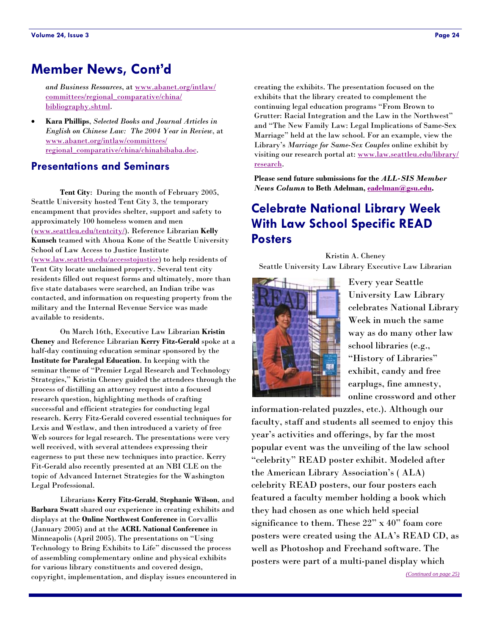# <span id="page-23-0"></span>**Member News, Cont'd**

*and Business Resources*, at www.abanet.org/intlaw/ [committees/regional\\_comparative/china/](http://www.abanet.org/intlaw/committees/regional_comparative/china/bibliography.shtml) bibliography.shtml.

• **Kara Phillips**, *Selected Books and Journal Articles in English on Chinese Law: The 2004 Year in Review*, at www.abanet.org/intlaw/committees/ [regional\\_comparative/china/chinabibaba.doc.](http://www.abanet.org/intlaw/committees/regional_comparative/china/chinabibaba.doc) 

# **Presentations and Seminars**

**Tent City**: During the month of February 2005, Seattle University hosted Tent City 3, the temporary encampment that provides shelter, support and safety to approximately 100 homeless women and men [\(www.seattleu.edu/tentcity/\)](http://www.seattleu.edu/tentcity/). Reference Librarian **Kelly Kunsch** teamed with Ahoua Kone of the Seattle University School of Law Access to Justice Institute [\(www.law.seattleu.edu/accesstojustice](http://www.law.seattleu.edu/accesstojustice)) to help residents of Tent City locate unclaimed property. Several tent city residents filled out request forms and ultimately, more than five state databases were searched, an Indian tribe was contacted, and information on requesting property from the military and the Internal Revenue Service was made available to residents.

 On March 16th, Executive Law Librarian **Kristin Cheney** and Reference Librarian **Kerry Fitz-Gerald** spoke at a half-day continuing education seminar sponsored by the **Institute for Paralegal Education**. In keeping with the seminar theme of "Premier Legal Research and Technology Strategies," Kristin Cheney guided the attendees through the process of distilling an attorney request into a focused research question, highlighting methods of crafting successful and efficient strategies for conducting legal research. Kerry Fitz-Gerald covered essential techniques for Lexis and Westlaw, and then introduced a variety of free Web sources for legal research. The presentations were very well received, with several attendees expressing their eagerness to put these new techniques into practice. Kerry Fit-Gerald also recently presented at an NBI CLE on the topic of Advanced Internet Strategies for the Washington Legal Professional.

 Librarians **Kerry Fitz-Gerald**, **Stephanie Wilson**, and **Barbara Swatt** shared our experience in creating exhibits and displays at the **Online Northwest Conference** in Corvallis (January 2005) and at the **ACRL National Conference** in Minneapolis (April 2005). The presentations on "Using Technology to Bring Exhibits to Life" discussed the process of assembling complementary online and physical exhibits for various library constituents and covered design, copyright, implementation, and display issues encountered in creating the exhibits. The presentation focused on the exhibits that the library created to complement the continuing legal education programs "From Brown to Grutter: Racial Integration and the Law in the Northwest" and "The New Family Law: Legal Implications of Same-Sex Marriage" held at the law school. For an example, view the Library's *Marriage for Same-Sex Couples* online exhibit by [visiting our research portal at: www.law.seattleu.edu/library/](http://www.law.seattleu.edu/library/research) research.

**Please send future submissions for the** *ALL-SIS Member News Column* **to Beth Adelman, [eadelman@gsu.edu](mailto:eadelman@gsu.edu).** 

# **Celebrate National Library Week With Law School Specific READ Posters**

Kristin A. Cheney Seattle University Law Library Executive Law Librarian



Every year Seattle University Law Library celebrates National Library Week in much the same way as do many other law school libraries (e.g., "History of Libraries" exhibit, candy and free earplugs, fine amnesty, online crossword and other

information-related puzzles, etc.). Although our faculty, staff and students all seemed to enjoy this year's activities and offerings, by far the most popular event was the unveiling of the law school "celebrity" READ poster exhibit. Modeled after the American Library Association's ( ALA) celebrity READ posters, our four posters each featured a faculty member holding a book which they had chosen as one which held special significance to them. These 22" x 40" foam core posters were created using the ALA's READ CD, as well as Photoshop and Freehand software. The posters were part of a multi-panel display which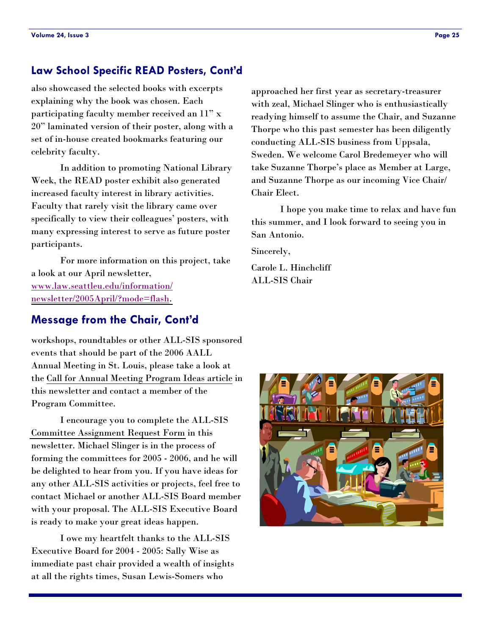# <span id="page-24-0"></span>**Law School Specific READ Posters, Cont'd**

also showcased the selected books with excerpts explaining why the book was chosen. Each participating faculty member received an 11" x 20" laminated version of their poster, along with a set of in-house created bookmarks featuring our celebrity faculty.

 In addition to promoting National Library Week, the READ poster exhibit also generated increased faculty interest in library activities. Faculty that rarely visit the library came over specifically to view their colleagues' posters, with many expressing interest to serve as future poster participants.

 For more information on this project, take a look at our April newsletter, www.law.seattleu.edu/information/ [newsletter/2005April/?mode=flash.](http://www.law.seattleu.edu/information/newsletter/2005April/?mode=flash) 

approached her first year as secretary-treasurer with zeal, Michael Slinger who is enthusiastically readying himself to assume the Chair, and Suzanne Thorpe who this past semester has been diligently conducting ALL-SIS business from Uppsala, Sweden. We welcome Carol Bredemeyer who will take Suzanne Thorpe's place as Member at Large, and Suzanne Thorpe as our incoming Vice Chair/ Chair Elect.

 I hope you make time to relax and have fun this summer, and I look forward to seeing you in San Antonio.

Sincerely,

Carole L. Hinchcliff ALL-SIS Chair

#### **Message from the Chair, Cont'd**

workshops, roundtables or other ALL-SIS sponsored events that should be part of the 2006 AALL Annual Meeting in St. Louis, please take a look at the [Call for Annual Meeting Program Ideas article](#page-10-0) in this newsletter and contact a member of the Program Committee.

 I encourage you to complete the ALL-SIS [Committee Assignment Request Form](#page-26-0) in this newsletter. Michael Slinger is in the process of forming the committees for 2005 - 2006, and he will be delighted to hear from you. If you have ideas for any other ALL-SIS activities or projects, feel free to contact Michael or another ALL-SIS Board member with your proposal. The ALL-SIS Executive Board is ready to make your great ideas happen.

 I owe my heartfelt thanks to the ALL-SIS Executive Board for 2004 - 2005: Sally Wise as immediate past chair provided a wealth of insights at all the rights times, Susan Lewis-Somers who

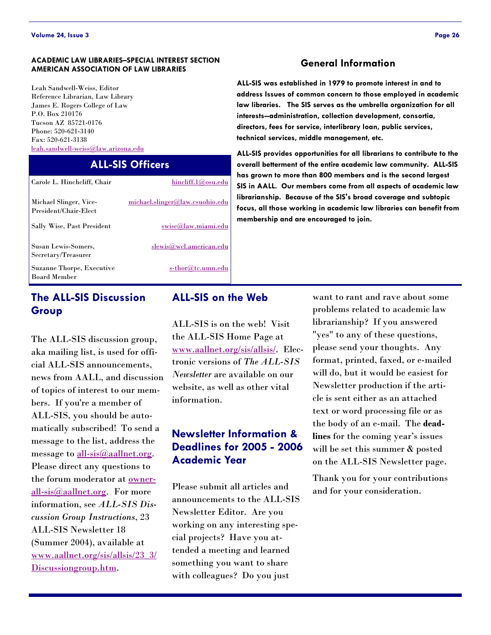#### **ACADEMIC LAW LIBRARIES–SPECIAL INTEREST SECTION AMERICAN ASSOCIATION OF LAW LIBRARIES**

Leah Sandwell-Weiss, Editor Reference Librarian, Law Library James E. Rogers College of Law P.O. Box 210176 Tucson AZ 85721-0176 Phone: 520-621-3140 Fax: 520-621-3138 [leah.sandwell-weiss@law.arizona.edu](mailto:leah.sandwell-weiss@law.arizona.edu)

# **ALL-SIS Officers**

| Carole L. Hinchcliff, Chair                      | hincliff.1@osu.edu              |
|--------------------------------------------------|---------------------------------|
| Michael Slinger, Vice-<br>President/Chair-Elect  | michael.slinger@law.csuohio.edu |
| Sally Wise, Past President                       | swise@law.miami.edu             |
| Susan Lewis-Somers.<br>Secretary/Treasurer       | slewis@wcl.american.edu         |
| Suzanne Thorpe, Executive<br><b>Board Member</b> | s-thor@tc.umn.edu               |

# **The ALL-SIS Discussion Group**

The ALL-SIS discussion group, aka mailing list, is used for official ALL-SIS announcements, news from AALL, and discussion of topics of interest to our members. If you're a member of ALL-SIS, you should be automatically subscribed! To send a message to the list, address the message to [all-sis@aallnet.org](mailto:all-sis@aallnet.org)*.*  Please direct any questions to [the forum moderator at owner](mailto:ownerall-sis@aallnet.org)all-sis@aallnet.org*.* For more information, see *ALL-SIS Discussion Group Instructions*, 23 ALL-SIS Newsletter 18 (Summer 2004), available at [www.aallnet.org/sis/allsis/23\\_3/](http://www.aallnet.org/sis/allsis/23_3/Discussiongroup.htm) Discussiongroup.htm.

# **ALL-SIS on the Web**

ALL-SIS is on the web! Visit the ALL-SIS Home Page at [www.aallnet.org/sis/allsis/.](http://www.aallnet.org/sis/allsis/) Electronic versions of *The ALL-SIS Newsletter* are available on our website, as well as other vital information.

# **Newsletter Information & Deadlines for 2005 - 2006 Academic Year**

Please submit all articles and announcements to the ALL-SIS Newsletter Editor. Are you working on any interesting special projects? Have you attended a meeting and learned something you want to share with colleagues? Do you just

#### **General Information**

**ALL-SIS was established in 1979 to promote interest in and to address Issues of common concern to those employed in academic law libraries. The SIS serves as the umbrella organization for all interests--administration, collection development, consortia, directors, fees for service, interlibrary loan, public services, technical services, middle management, etc.** 

**ALL-SIS provides opportunities for all librarians to contribute to the overall betterment of the entire academic law community. ALL-SIS has grown to more than 800 members and is the second largest SIS in AALL. Our members come from all aspects of academic law librarianship. Because of the SIS's broad coverage and subtopic focus, all those working in academic law libraries can benefit from membership and are encouraged to join.** 

> want to rant and rave about some problems related to academic law librarianship? If you answered "yes" to any of these questions, please send your thoughts. Any format, printed, faxed, or e-mailed will do, but it would be easiest for Newsletter production if the article is sent either as an attached text or word processing file or as the body of an e-mail. The **deadlines** for the coming year's issues will be set this summer & posted on the ALL-SIS Newsletter page.

Thank you for your contributions and for your consideration.